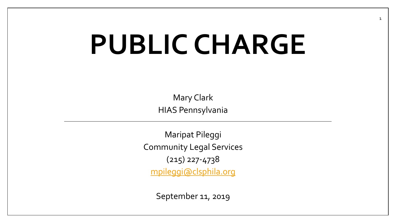# **PUBLIC CHARGE**

Mary Clark HIAS Pennsylvania

Maripat Pileggi Community Legal Services (215) 227-4738 [mpileggi@clsphila.org](mailto:mpileggi@clsphila.org)

September 11, 2019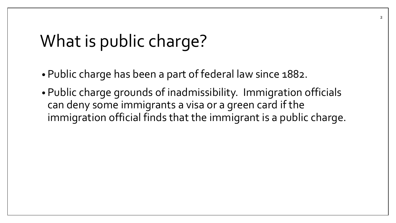### What is public charge?

- Public charge has been a part of federal law since 1882.
- Public charge grounds of inadmissibility. Immigration officials can deny some immigrants a visa or a green card if the immigration official finds that the immigrant is a public charge.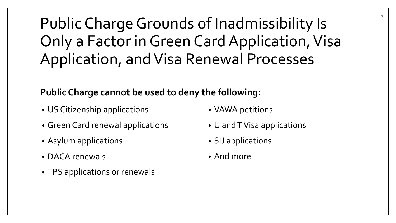### Public Charge Grounds of Inadmissibility Is Only a Factor in Green Card Application, Visa Application, and Visa Renewal Processes

#### **Public Charge cannot be used to deny the following:**

- US Citizenship applications
- Green Card renewal applications
- Asylum applications
- DACA renewals
- TPS applications or renewals
- VAWA petitions
- U and T Visa applications
- SIJ applications
- And more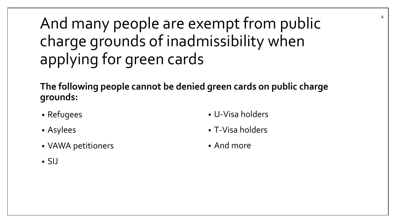### And many people are exempt from public charge grounds of inadmissibility when applying for green cards

**The following people cannot be denied green cards on public charge grounds:**

- Refugees
- Asylees
- VAWA petitioners

• U-Visa holders

4

- T-Visa holders
- And more

• SIJ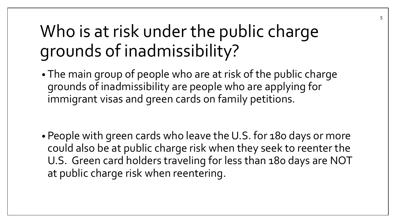# Who is at risk under the public charge grounds of inadmissibility?

• The main group of people who are at risk of the public charge grounds of inadmissibility are people who are applying for immigrant visas and green cards on family petitions.

• People with green cards who leave the U.S. for 180 days or more could also be at public charge risk when they seek to reenter the U.S. Green card holders traveling for less than 180 days are NOT at public charge risk when reentering.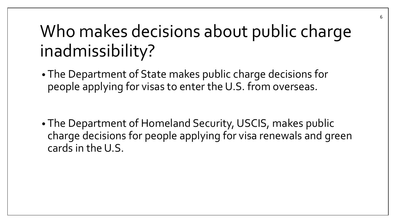# Who makes decisions about public charge inadmissibility?

• The Department of State makes public charge decisions for people applying for visas to enter the U.S. from overseas.

• The Department of Homeland Security, USCIS, makes public charge decisions for people applying for visa renewals and green cards in the U.S.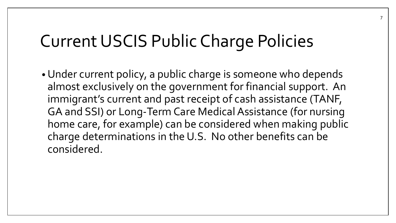# Current USCIS Public Charge Policies

•Under current policy, a public charge is someone who depends almost exclusively on the government for financial support. An immigrant's current and past receipt of cash assistance (TANF, GA and SSI) or Long-Term Care Medical Assistance (for nursing home care, for example) can be considered when making public charge determinations in the U.S. No other benefits can be considered.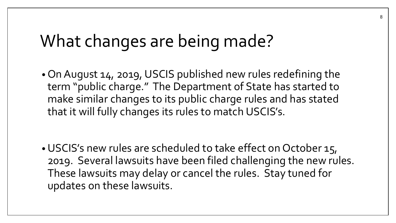• On August 14, 2019, USCIS published new rules redefining the term "public charge." The Department of State has started to make similar changes to its public charge rules and has stated that it will fully changes its rules to match USCIS's.

•USCIS's new rules are scheduled to take effect on October 15, 2019. Several lawsuits have been filed challenging the new rules. These lawsuits may delay or cancel the rules. Stay tuned for updates on these lawsuits.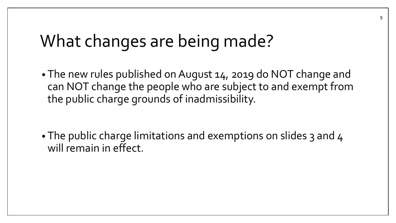• The new rules published on August 14, 2019 do NOT change and can NOT change the people who are subject to and exempt from the public charge grounds of inadmissibility.

• The public charge limitations and exemptions on slides 3 and 4 will remain in effect.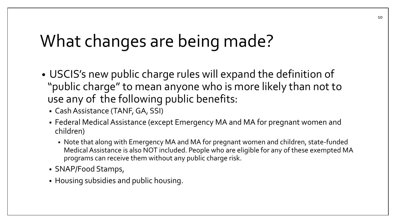- USCIS's new public charge rules will expand the definition of "public charge" to mean anyone who is more likely than not to use any of the following public benefits:
	- Cash Assistance (TANF, GA, SSI)
	- Federal Medical Assistance (except Emergency MA and MA for pregnant women and children)
		- Note that along with Emergency MA and MA for pregnant women and children, state-funded Medical Assistance is also NOT included. People who are eligible for any of these exempted MA programs can receive them without any public charge risk.
	- SNAP/Food Stamps,
	- Housing subsidies and public housing.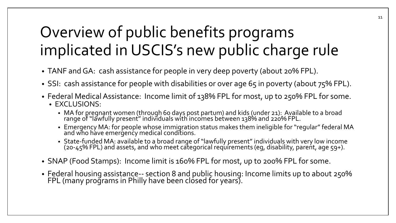### Overview of public benefits programs implicated in USCIS's new public charge rule

- TANF and GA: cash assistance for people in very deep poverty (about 20% FPL).
- SSI: cash assistance for people with disabilities or over age 65 in poverty (about 75% FPL).
- Federal Medical Assistance: Income limit of 138% FPL for most, up to 250% FPL for some.
	- EXCLUSIONS:
		- MA for pregnant women (through 60 days post partum) and kids (under 21): Available to a broad range of "lawfully present" individuals with incomes between 138% and 220% FPL.
		- Emergency MA: for people whose immigration status makes them ineligible for "regular" federal MA and who have emergency medical conditions.
		- State-funded MA: available to a broad range of "lawfully present" individuals with very low income (20-45% FPL) and assets, and who meet categorical requirements (eg, disability, parent, age 59+).
- SNAP (Food Stamps): Income limit is 160% FPL for most, up to 200% FPL for some.
- Federal housing assistance-- section 8 and public housing: Income limits up to about 250% FPL (many programs in Philly have been closed for years).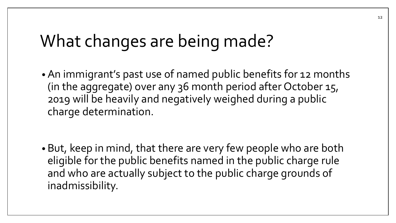• An immigrant's past use of named public benefits for 12 months (in the aggregate) over any 36 month period after October 15, 2019 will be heavily and negatively weighed during a public charge determination.

• But, keep in mind, that there are very few people who are both eligible for the public benefits named in the public charge rule and who are actually subject to the public charge grounds of inadmissibility.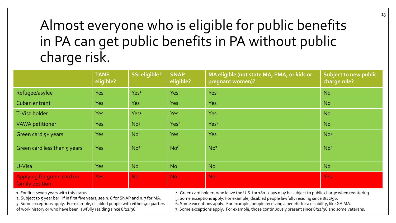#### Almost everyone who is eligible for public benefits in PA can get public benefits in PA without public charge risk.

|                                               | <b>TANF</b><br>eligible? | <b>SSI eligible?</b> | <b>SNAP</b><br>eligible? | MA eligible (not state MA, EMA, or kids or<br>pregnant women)? | Subject to new public<br>charge rule? |
|-----------------------------------------------|--------------------------|----------------------|--------------------------|----------------------------------------------------------------|---------------------------------------|
| Refugee/asylee                                | <b>Yes</b>               | Yes <sup>1</sup>     | <b>Yes</b>               | <b>Yes</b>                                                     | <b>No</b>                             |
| Cuban entrant                                 | <b>Yes</b>               | <b>Yes</b>           | <b>Yes</b>               | <b>Yes</b>                                                     | <b>No</b>                             |
| T-Visa holder                                 | <b>Yes</b>               | Yes <sup>1</sup>     | <b>Yes</b>               | <b>Yes</b>                                                     | <b>No</b>                             |
| <b>VAWA</b> petitioner                        | <b>Yes</b>               | No <sub>5</sub>      | Yes <sup>2</sup>         | Yes <sup>2</sup>                                               | <b>No</b>                             |
| Green card 5+ years                           | <b>Yes</b>               | No <sup>3</sup>      | <b>Yes</b>               | <b>Yes</b>                                                     | No <sup>4</sup>                       |
| Green card less than 5 years                  | <b>Yes</b>               | No <sub>5</sub>      | No <sup>6</sup>          | No <sup>7</sup>                                                | No <sup>4</sup>                       |
| U-Visa                                        | <b>Yes</b>               | <b>No</b>            | <b>No</b>                | <b>No</b>                                                      | <b>No</b>                             |
| Applying for green card on<br>family petition | <b>Yes</b>               | <b>No</b>            | <b>No</b>                | <b>No</b>                                                      | Yes:                                  |

1. For first seven years with this status.

2. Subject to 5 year bar. If in first five years, see n. 6 for SNAP and n. 7 for MA.

3. Some exceptions apply. For example, disabled people with either 40 quarters of work history or who have been lawfully residing since 8/22/96.

4. Green card holders who leave the U.S. for 180+ days may be subject to public charge when reentering.

5. Some exceptions apply. For example, disabled people lawfully residing since 8/22/96.

6. Some exceptions apply. For example, people receiving a benefit for a disability, like GA MA.

7. Some exceptions apply. For example, those continuously present since 8/22/96 and some veterans.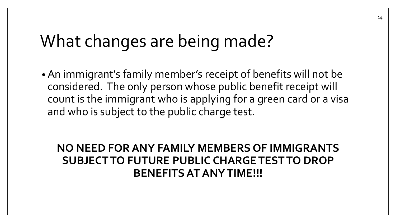• An immigrant's family member's receipt of benefits will not be considered. The only person whose public benefit receipt will count is the immigrant who is applying for a green card or a visa and who is subject to the public charge test.

#### **NO NEED FOR ANY FAMILY MEMBERS OF IMMIGRANTS SUBJECT TO FUTURE PUBLIC CHARGE TEST TO DROP BENEFITS AT ANY TIME!!!**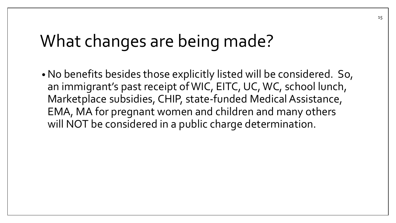•No benefits besides those explicitly listed will be considered. So, an immigrant's past receipt of WIC, EITC, UC, WC, school lunch, Marketplace subsidies, CHIP, state-funded Medical Assistance, EMA, MA for pregnant women and children and many others will NOT be considered in a public charge determination.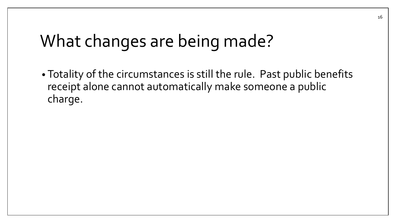• Totality of the circumstances is still the rule. Past public benefits receipt alone cannot automatically make someone a public charge.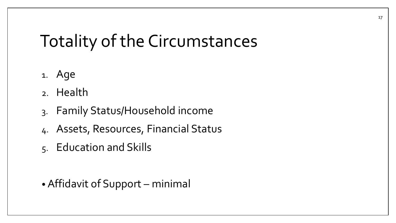# Totality of the Circumstances

- 1. Age
- 2. Health
- 3. Family Status/Household income
- 4. Assets, Resources, Financial Status
- 5. Education and Skills

• Affidavit of Support – minimal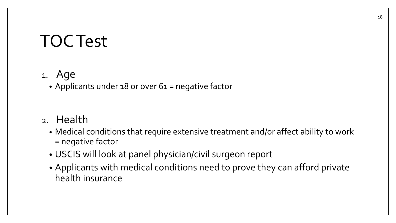### TOC Test

#### 1. Age

• Applicants under 18 or over 61 = negative factor

#### 2. Health

- Medical conditions that require extensive treatment and/or affect ability to work = negative factor
- USCIS will look at panel physician/civil surgeon report
- Applicants with medical conditions need to prove they can afford private health insurance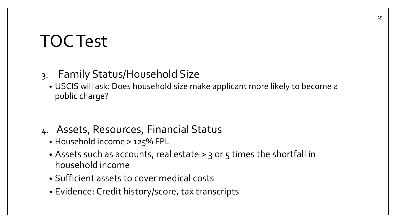### TOC Test

#### 3. Family Status/Household Size

- USCIS will ask: Does household size make applicant more likely to become a public charge?
- 4. Assets, Resources, Financial Status
	- Household income > 125% FPL
	- Assets such as accounts, real estate > 3 or 5 times the shortfall in household income
	- Sufficient assets to cover medical costs
	- Evidence: Credit history/score, tax transcripts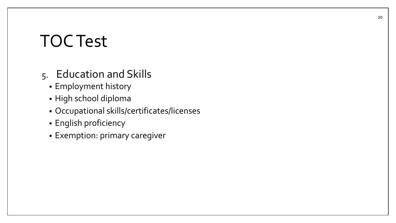### TOC Test

#### 5. Education and Skills

- Employment history
- High school diploma
- Occupational skills/certificates/licenses
- English proficiency
- Exemption: primary caregiver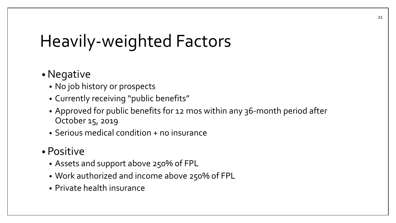# Heavily-weighted Factors

#### •Negative

- No job history or prospects
- Currently receiving "public benefits"
- Approved for public benefits for 12 mos within any 36-month period after October 15, 2019
- Serious medical condition + no insurance

#### • Positive

- Assets and support above 250% of FPL
- Work authorized and income above 250% of FPL
- Private health insurance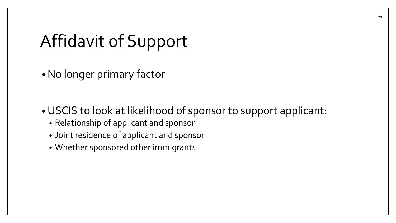# Affidavit of Support

•No longer primary factor

•USCIS to look at likelihood of sponsor to support applicant:

- Relationship of applicant and sponsor
- Joint residence of applicant and sponsor
- Whether sponsored other immigrants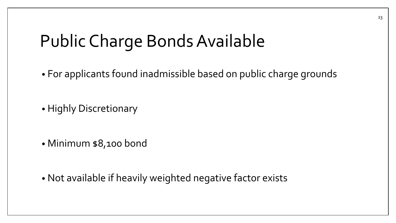### Public Charge Bonds Available

• For applicants found inadmissible based on public charge grounds

• Highly Discretionary

• Minimum \$8,100 bond

• Not available if heavily weighted negative factor exists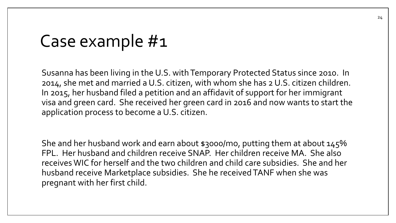### Case example #1

Susanna has been living in the U.S. with Temporary Protected Status since 2010. In 2014, she met and married a U.S. citizen, with whom she has 2 U.S. citizen children. In 2015, her husband filed a petition and an affidavit of support for her immigrant visa and green card. She received her green card in 2016 and now wants to start the application process to become a U.S. citizen.

She and her husband work and earn about \$3000/mo, putting them at about 145% FPL. Her husband and children receive SNAP. Her children receive MA. She also receives WIC for herself and the two children and child care subsidies. She and her husband receive Marketplace subsidies. She he received TANF when she was pregnant with her first child.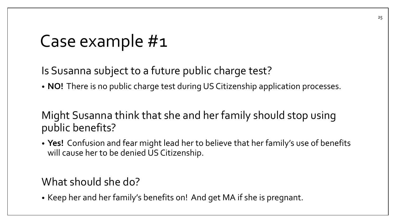### Case example #1

Is Susanna subject to a future public charge test?

• **NO!** There is no public charge test during US Citizenship application processes.

Might Susanna think that she and her family should stop using public benefits?

• **Yes!** Confusion and fear might lead her to believe that her family's use of benefits will cause her to be denied US Citizenship.

What should she do?

• Keep her and her family's benefits on! And get MA if she is pregnant.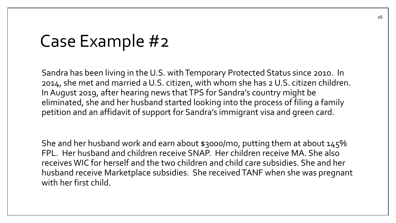### Case Example #2

Sandra has been living in the U.S. with Temporary Protected Status since 2010. In 2014, she met and married a U.S. citizen, with whom she has 2 U.S. citizen children. In August 2019, after hearing news that TPS for Sandra's country might be eliminated, she and her husband started looking into the process of filing a family petition and an affidavit of support for Sandra's immigrant visa and green card.

She and her husband work and earn about \$3000/mo, putting them at about 145% FPL. Her husband and children receive SNAP. Her children receive MA. She also receives WIC for herself and the two children and child care subsidies. She and her husband receive Marketplace subsidies. She received TANF when she was pregnant with her first child.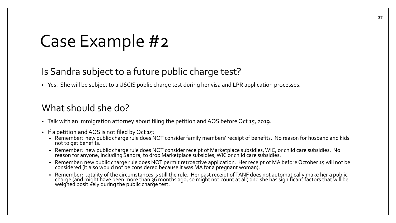#### Case Example #2

#### Is Sandra subject to a future public charge test?

• Yes. She will be subject to a USCIS public charge test during her visa and LPR application processes.

#### What should she do?

- Talk with an immigration attorney about filing the petition and AOS before Oct 15, 2019.
- If a petition and AOS is not filed by Oct 15:
	- Remember: new public charge rule does NOT consider family members' receipt of benefits. No reason for husband and kids not to get benefits.
	- Remember: new public charge rule does NOT consider receipt of Marketplace subsidies, WIC, or child care subsidies. No reason for anyone, including Sandra, to drop Marketplace subsidies, WIC or child care subsidies.
	- Remember: new public charge rule does NOT permit retroactive application. Her receipt of MA before October 15 will not be considered (it also would not be considered because it was MA for a pregnant woman).  $\,$
	- Remember: totality of the circumstances is still the rule. Her past receipt of TANF does not automatically make her a public charge (and might have been more than 36 months ago, so might not count at all) and she has significant factors that will be weighed positively during the public charge test.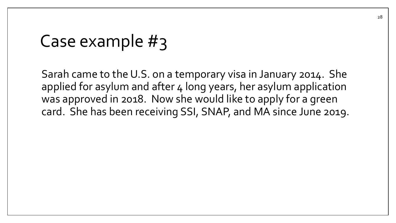### Case example #3

Sarah came to the U.S. on a temporary visa in January 2014. She applied for asylum and after 4 long years, her asylum application was approved in 2018. Now she would like to apply for a green card. She has been receiving SSI, SNAP, and MA since June 2019.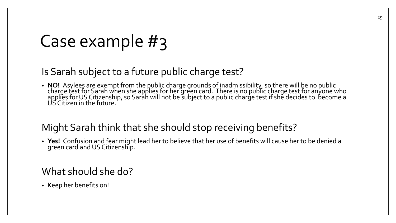### Case example #3

#### Is Sarah subject to a future public charge test?

• **NO!** Asylees are exempt from the public charge grounds o<u>f i</u>nadmissibility, so there will be no public charge test for Sarah when she applies for her green card. There is no public charge test for anyone who applies for US Citizenship, so Sarah will not be subject to a public charge test if she decides to become a US Citizen in the future.

#### Might Sarah think that she should stop receiving benefits?

• **Yes!** Confusion and fear might lead her to believe that her use of benefits will cause her to be denied a green card and US Citizenship.

#### What should she do?

• Keep her benefits on!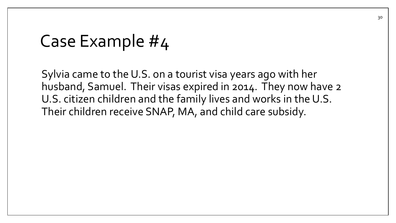#### Case Example #4

Sylvia came to the U.S. on a tourist visa years ago with her husband, Samuel. Their visas expired in 2014. They now have 2 U.S. citizen children and the family lives and works in the U.S. Their children receive SNAP, MA, and child care subsidy.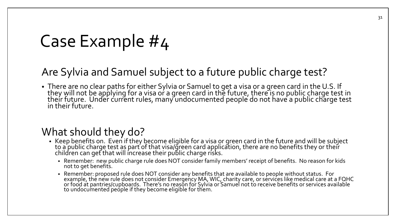### Case Example #4

#### Are Sylvia and Samuel subject to a future public charge test?

• There are no clear paths for either Sylvia or Samuel to get a visa or a green card in the U.S. If they will not be applying for a visa or a green card in the future, there is no public charge test in their future. Under current rules, many undocumented people do not have a public charge test in their future.

#### What should they do?

- Keep benefits on. Even if they become eligible for a visa or green card in the future and will be subject to a public charge test as part of that visa/green card application, there are no benefits they or their children can get that will increase their public charge risks.
	- Remember: new public charge rule does NOT consider family members' receipt of benefits. No reason for kids not to get benefits.
	- Remember: proposed rule does NOT consider any benefits that are available to people without status. For example, the new rule does not consider Emergency MA, WIC, charity care, or services like medical care at a FOHC or food at pantries/cupboards. There's no reason for Sylvia or Samuel not to receive benefits or services available to undocumented people if they become eligible for them.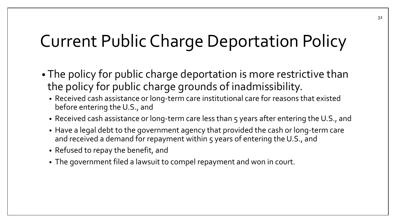# Current Public Charge Deportation Policy

- The policy for public charge deportation is more restrictive than the policy for public charge grounds of inadmissibility.
	- Received cash assistance or long-term care institutional care for reasons that existed before entering the U.S., and
	- Received cash assistance or long-term care less than 5 years after entering the U.S., and
	- Have a legal debt to the government agency that provided the cash or long-term care and received a demand for repayment within 5 years of entering the U.S., and
	- Refused to repay the benefit, and
	- The government filed a lawsuit to compel repayment and won in court.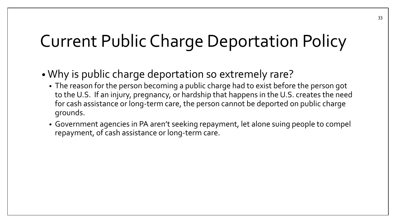# Current Public Charge Deportation Policy

- Why is public charge deportation so extremely rare?
	- The reason for the person becoming a public charge had to exist before the person got to the U.S. If an injury, pregnancy, or hardship that happens in the U.S. creates the need for cash assistance or long-term care, the person cannot be deported on public charge grounds.
	- Government agencies in PA aren't seeking repayment, let alone suing people to compel repayment, of cash assistance or long-term care.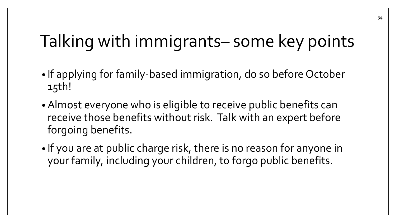# Talking with immigrants– some key points

- If applying for family-based immigration, do so before October 15th!
- Almost everyone who is eligible to receive public benefits can receive those benefits without risk. Talk with an expert before forgoing benefits.
- If you are at public charge risk, there is no reason for anyone in your family, including your children, to forgo public benefits.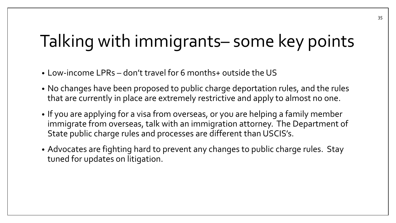# Talking with immigrants– some key points

- Low-income LPRs don't travel for 6 months+ outside the US
- No changes have been proposed to public charge deportation rules, and the rules that are currently in place are extremely restrictive and apply to almost no one.
- If you are applying for a visa from overseas, or you are helping a family member immigrate from overseas, talk with an immigration attorney. The Department of State public charge rules and processes are different than USCIS's.
- Advocates are fighting hard to prevent any changes to public charge rules. Stay tuned for updates on litigation.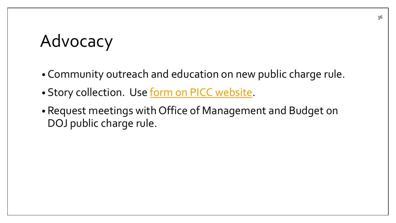# Advocacy

- Community outreach and education on new public charge rule.
- Story collection. Use [form on PICC website](https://docs.google.com/forms/d/e/1FAIpQLSeu2v_yOyGC9V68vqYPXBMJQfdOBDCXfPCp3I5eEumyyGE9XQ/viewform).
- Request meetings with Office of Management and Budget on DOJ public charge rule.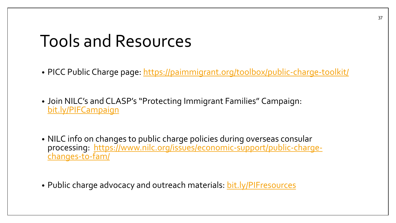### Tools and Resources

- PICC Public Charge page:<https://paimmigrant.org/toolbox/public-charge-toolkit/>
- Join NILC's and CLASP's "Protecting Immigrant Families" Campaign: [bit.ly/PIFCampaign](https://bit.ly/PIFCampaign)
- NILC info on changes to public charge policies during overseas consular [processing: https://www.nilc.org/issues/economic-support/public-charge](https://www.nilc.org/issues/economic-support/public-charge-changes-to-fam/)changes-to-fam/
- Public charge advocacy and outreach materials: [bit.ly/PIFresources](https://bit.ly/PIFresources)